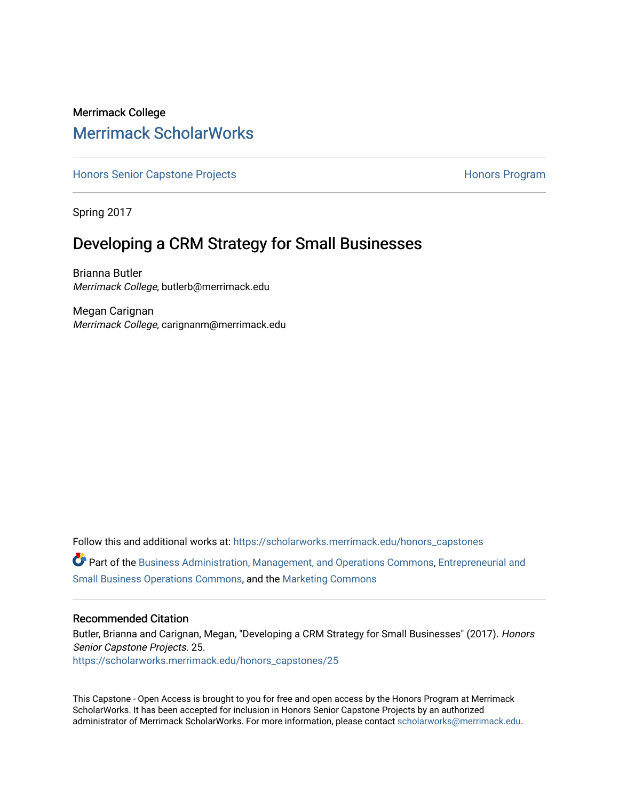# Merrimack College [Merrimack ScholarWorks](https://scholarworks.merrimack.edu/)

[Honors Senior Capstone Projects](https://scholarworks.merrimack.edu/honors_capstones) **Honors Program** Honors Program

Spring 2017

# Developing a CRM Strategy for Small Businesses

Brianna Butler Merrimack College, butlerb@merrimack.edu

Megan Carignan Merrimack College, carignanm@merrimack.edu

Follow this and additional works at: [https://scholarworks.merrimack.edu/honors\\_capstones](https://scholarworks.merrimack.edu/honors_capstones?utm_source=scholarworks.merrimack.edu%2Fhonors_capstones%2F25&utm_medium=PDF&utm_campaign=PDFCoverPages) Part of the [Business Administration, Management, and Operations Commons](http://network.bepress.com/hgg/discipline/623?utm_source=scholarworks.merrimack.edu%2Fhonors_capstones%2F25&utm_medium=PDF&utm_campaign=PDFCoverPages), [Entrepreneurial and](http://network.bepress.com/hgg/discipline/630?utm_source=scholarworks.merrimack.edu%2Fhonors_capstones%2F25&utm_medium=PDF&utm_campaign=PDFCoverPages) [Small Business Operations Commons](http://network.bepress.com/hgg/discipline/630?utm_source=scholarworks.merrimack.edu%2Fhonors_capstones%2F25&utm_medium=PDF&utm_campaign=PDFCoverPages), and the [Marketing Commons](http://network.bepress.com/hgg/discipline/638?utm_source=scholarworks.merrimack.edu%2Fhonors_capstones%2F25&utm_medium=PDF&utm_campaign=PDFCoverPages) 

# Recommended Citation

Butler, Brianna and Carignan, Megan, "Developing a CRM Strategy for Small Businesses" (2017). Honors Senior Capstone Projects. 25. [https://scholarworks.merrimack.edu/honors\\_capstones/25](https://scholarworks.merrimack.edu/honors_capstones/25?utm_source=scholarworks.merrimack.edu%2Fhonors_capstones%2F25&utm_medium=PDF&utm_campaign=PDFCoverPages) 

This Capstone - Open Access is brought to you for free and open access by the Honors Program at Merrimack ScholarWorks. It has been accepted for inclusion in Honors Senior Capstone Projects by an authorized administrator of Merrimack ScholarWorks. For more information, please contact [scholarworks@merrimack.edu](mailto:scholarworks@merrimack.edu).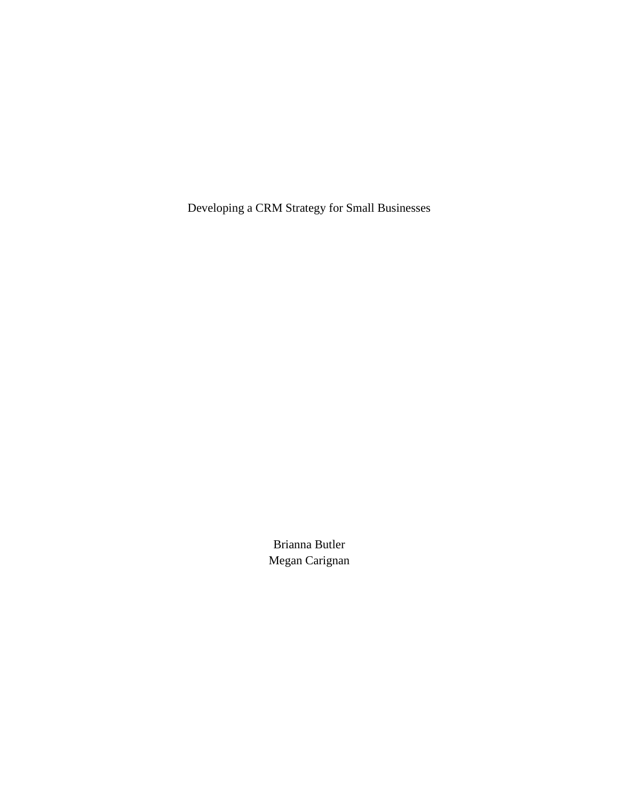Developing a CRM Strategy for Small Businesses

Brianna Butler Megan Carignan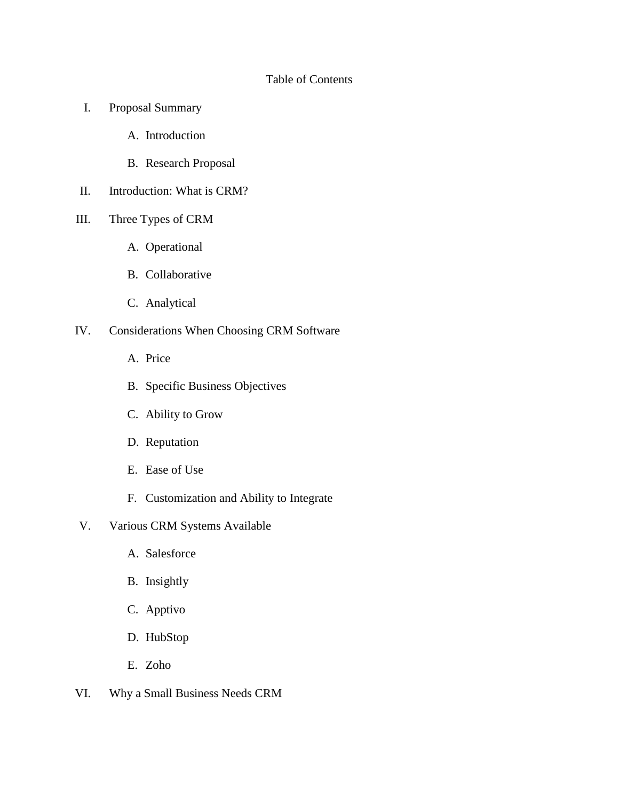# Table of Contents

- I. Proposal Summary
	- A. Introduction
	- B. Research Proposal
- II. Introduction: What is CRM?
- III. Three Types of CRM
	- A. Operational
	- B. Collaborative
	- C. Analytical
- IV. Considerations When Choosing CRM Software
	- A. Price
	- B. Specific Business Objectives
	- C. Ability to Grow
	- D. Reputation
	- E. Ease of Use
	- F. Customization and Ability to Integrate
- V. Various CRM Systems Available
	- A. Salesforce
	- B. Insightly
	- C. Apptivo
	- D. HubStop
	- E. Zoho
- VI. Why a Small Business Needs CRM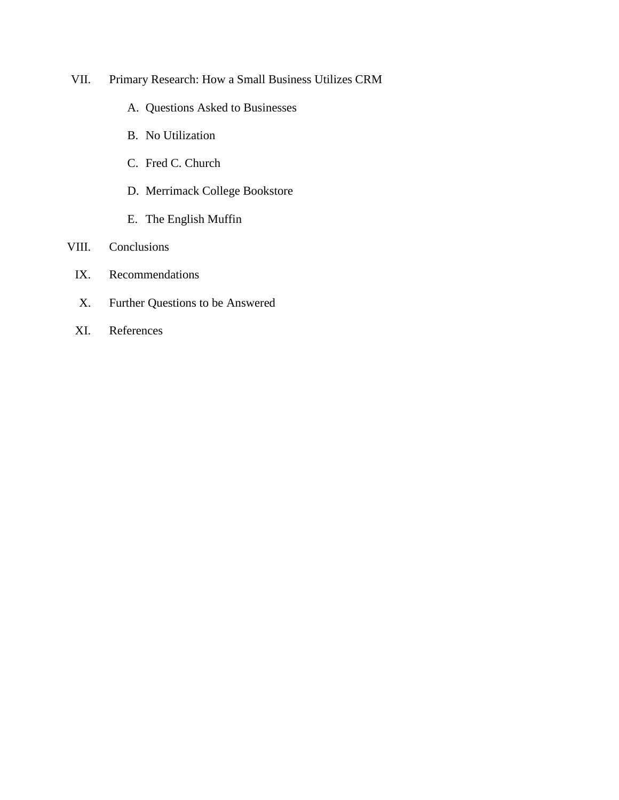- VII. Primary Research: How a Small Business Utilizes CRM
	- A. Questions Asked to Businesses
	- B. No Utilization
	- C. Fred C. Church
	- D. Merrimack College Bookstore
	- E. The English Muffin

# VIII. Conclusions

- IX. Recommendations
- X. Further Questions to be Answered
- XI. References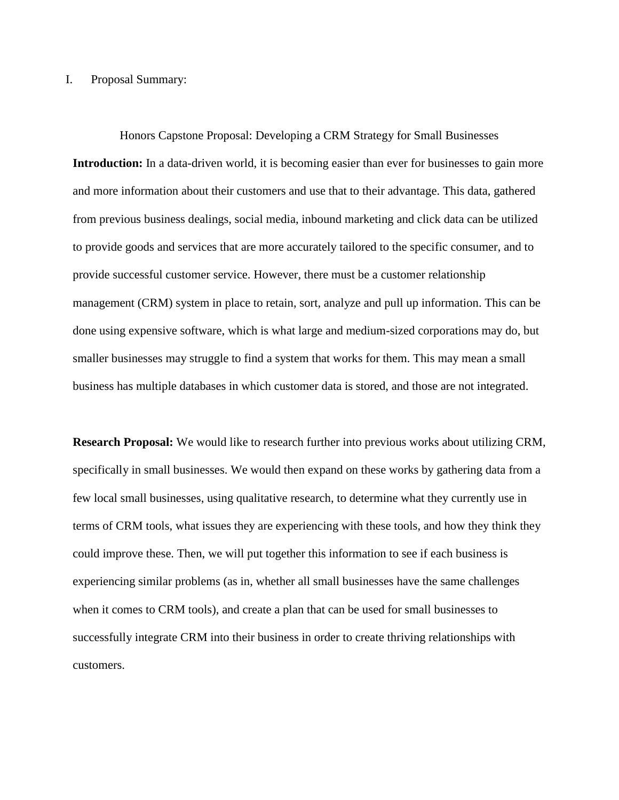### I. Proposal Summary:

Honors Capstone Proposal: Developing a CRM Strategy for Small Businesses **Introduction:** In a data-driven world, it is becoming easier than ever for businesses to gain more and more information about their customers and use that to their advantage. This data, gathered from previous business dealings, social media, inbound marketing and click data can be utilized to provide goods and services that are more accurately tailored to the specific consumer, and to provide successful customer service. However, there must be a customer relationship management (CRM) system in place to retain, sort, analyze and pull up information. This can be done using expensive software, which is what large and medium-sized corporations may do, but smaller businesses may struggle to find a system that works for them. This may mean a small business has multiple databases in which customer data is stored, and those are not integrated.

**Research Proposal:** We would like to research further into previous works about utilizing CRM, specifically in small businesses. We would then expand on these works by gathering data from a few local small businesses, using qualitative research, to determine what they currently use in terms of CRM tools, what issues they are experiencing with these tools, and how they think they could improve these. Then, we will put together this information to see if each business is experiencing similar problems (as in, whether all small businesses have the same challenges when it comes to CRM tools), and create a plan that can be used for small businesses to successfully integrate CRM into their business in order to create thriving relationships with customers.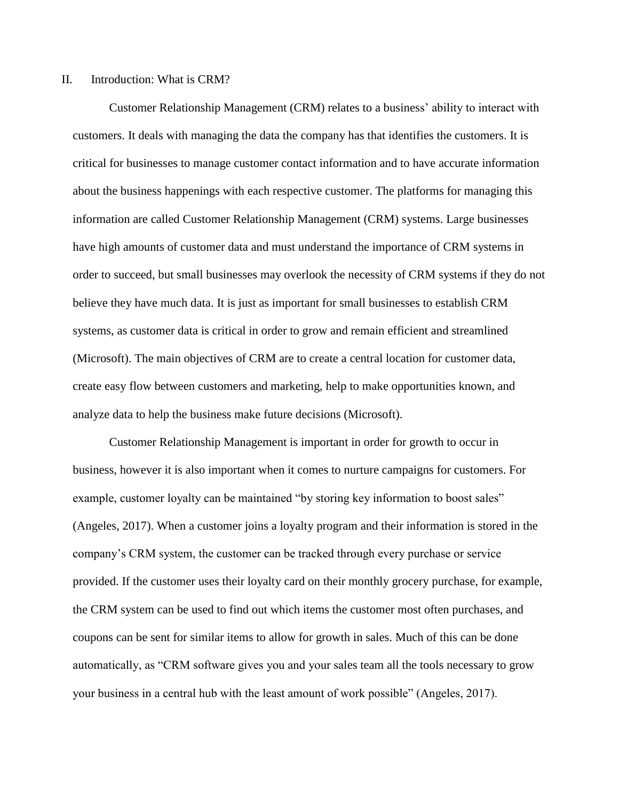#### II. Introduction: What is CRM?

Customer Relationship Management (CRM) relates to a business' ability to interact with customers. It deals with managing the data the company has that identifies the customers. It is critical for businesses to manage customer contact information and to have accurate information about the business happenings with each respective customer. The platforms for managing this information are called Customer Relationship Management (CRM) systems. Large businesses have high amounts of customer data and must understand the importance of CRM systems in order to succeed, but small businesses may overlook the necessity of CRM systems if they do not believe they have much data. It is just as important for small businesses to establish CRM systems, as customer data is critical in order to grow and remain efficient and streamlined (Microsoft). The main objectives of CRM are to create a central location for customer data, create easy flow between customers and marketing, help to make opportunities known, and analyze data to help the business make future decisions (Microsoft).

Customer Relationship Management is important in order for growth to occur in business, however it is also important when it comes to nurture campaigns for customers. For example, customer loyalty can be maintained "by storing key information to boost sales" (Angeles, 2017). When a customer joins a loyalty program and their information is stored in the company's CRM system, the customer can be tracked through every purchase or service provided. If the customer uses their loyalty card on their monthly grocery purchase, for example, the CRM system can be used to find out which items the customer most often purchases, and coupons can be sent for similar items to allow for growth in sales. Much of this can be done automatically, as "CRM software gives you and your sales team all the tools necessary to grow your business in a central hub with the least amount of work possible" (Angeles, 2017).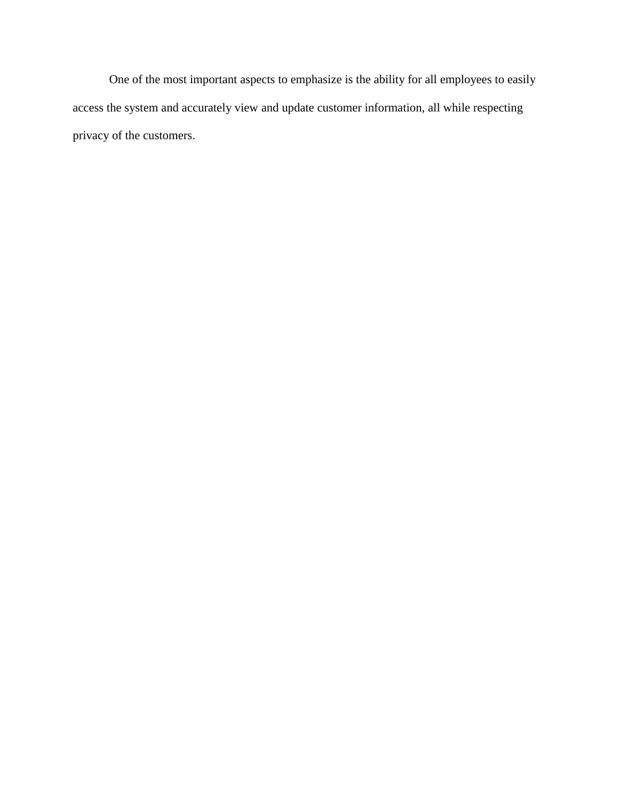One of the most important aspects to emphasize is the ability for all employees to easily access the system and accurately view and update customer information, all while respecting privacy of the customers.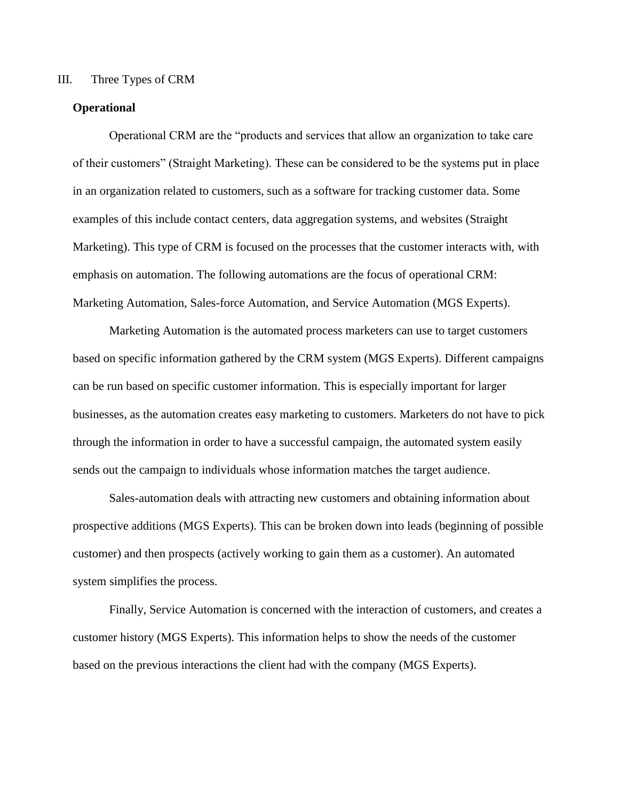## III. Three Types of CRM

# **Operational**

Operational CRM are the "products and services that allow an organization to take care of their customers" (Straight Marketing). These can be considered to be the systems put in place in an organization related to customers, such as a software for tracking customer data. Some examples of this include contact centers, data aggregation systems, and websites (Straight Marketing). This type of CRM is focused on the processes that the customer interacts with, with emphasis on automation. The following automations are the focus of operational CRM: Marketing Automation, Sales-force Automation, and Service Automation (MGS Experts).

Marketing Automation is the automated process marketers can use to target customers based on specific information gathered by the CRM system (MGS Experts). Different campaigns can be run based on specific customer information. This is especially important for larger businesses, as the automation creates easy marketing to customers. Marketers do not have to pick through the information in order to have a successful campaign, the automated system easily sends out the campaign to individuals whose information matches the target audience.

Sales-automation deals with attracting new customers and obtaining information about prospective additions (MGS Experts). This can be broken down into leads (beginning of possible customer) and then prospects (actively working to gain them as a customer). An automated system simplifies the process.

Finally, Service Automation is concerned with the interaction of customers, and creates a customer history (MGS Experts). This information helps to show the needs of the customer based on the previous interactions the client had with the company (MGS Experts).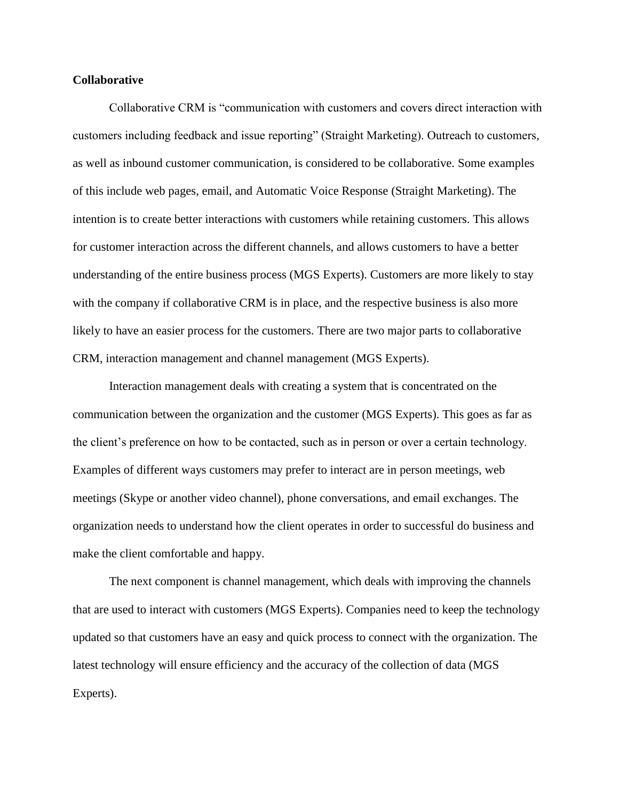## **Collaborative**

Collaborative CRM is "communication with customers and covers direct interaction with customers including feedback and issue reporting" (Straight Marketing). Outreach to customers, as well as inbound customer communication, is considered to be collaborative. Some examples of this include web pages, email, and Automatic Voice Response (Straight Marketing). The intention is to create better interactions with customers while retaining customers. This allows for customer interaction across the different channels, and allows customers to have a better understanding of the entire business process (MGS Experts). Customers are more likely to stay with the company if collaborative CRM is in place, and the respective business is also more likely to have an easier process for the customers. There are two major parts to collaborative CRM, interaction management and channel management (MGS Experts).

Interaction management deals with creating a system that is concentrated on the communication between the organization and the customer (MGS Experts). This goes as far as the client's preference on how to be contacted, such as in person or over a certain technology. Examples of different ways customers may prefer to interact are in person meetings, web meetings (Skype or another video channel), phone conversations, and email exchanges. The organization needs to understand how the client operates in order to successful do business and make the client comfortable and happy.

The next component is channel management, which deals with improving the channels that are used to interact with customers (MGS Experts). Companies need to keep the technology updated so that customers have an easy and quick process to connect with the organization. The latest technology will ensure efficiency and the accuracy of the collection of data (MGS Experts).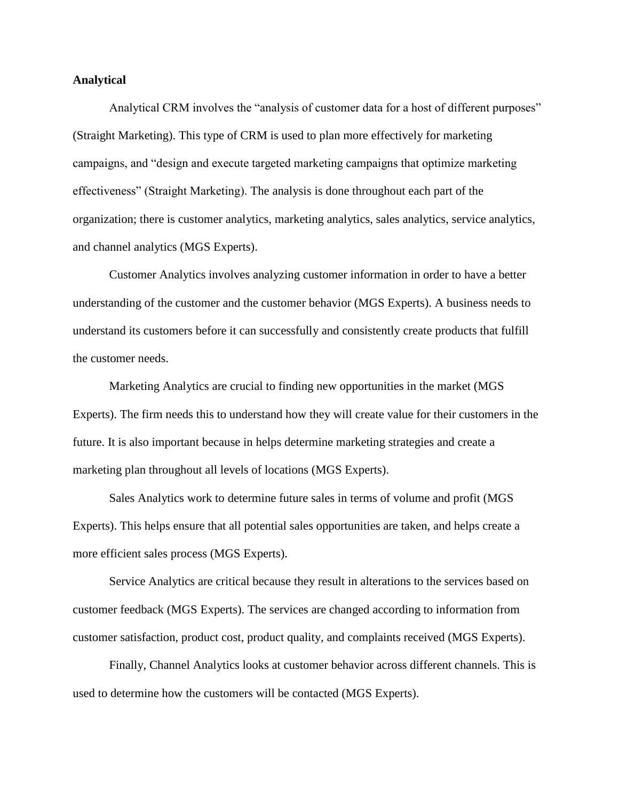## **Analytical**

Analytical CRM involves the "analysis of customer data for a host of different purposes" (Straight Marketing). This type of CRM is used to plan more effectively for marketing campaigns, and "design and execute targeted marketing campaigns that optimize marketing effectiveness" (Straight Marketing). The analysis is done throughout each part of the organization; there is customer analytics, marketing analytics, sales analytics, service analytics, and channel analytics (MGS Experts).

Customer Analytics involves analyzing customer information in order to have a better understanding of the customer and the customer behavior (MGS Experts). A business needs to understand its customers before it can successfully and consistently create products that fulfill the customer needs.

Marketing Analytics are crucial to finding new opportunities in the market (MGS Experts). The firm needs this to understand how they will create value for their customers in the future. It is also important because in helps determine marketing strategies and create a marketing plan throughout all levels of locations (MGS Experts).

Sales Analytics work to determine future sales in terms of volume and profit (MGS Experts). This helps ensure that all potential sales opportunities are taken, and helps create a more efficient sales process (MGS Experts).

Service Analytics are critical because they result in alterations to the services based on customer feedback (MGS Experts). The services are changed according to information from customer satisfaction, product cost, product quality, and complaints received (MGS Experts).

Finally, Channel Analytics looks at customer behavior across different channels. This is used to determine how the customers will be contacted (MGS Experts).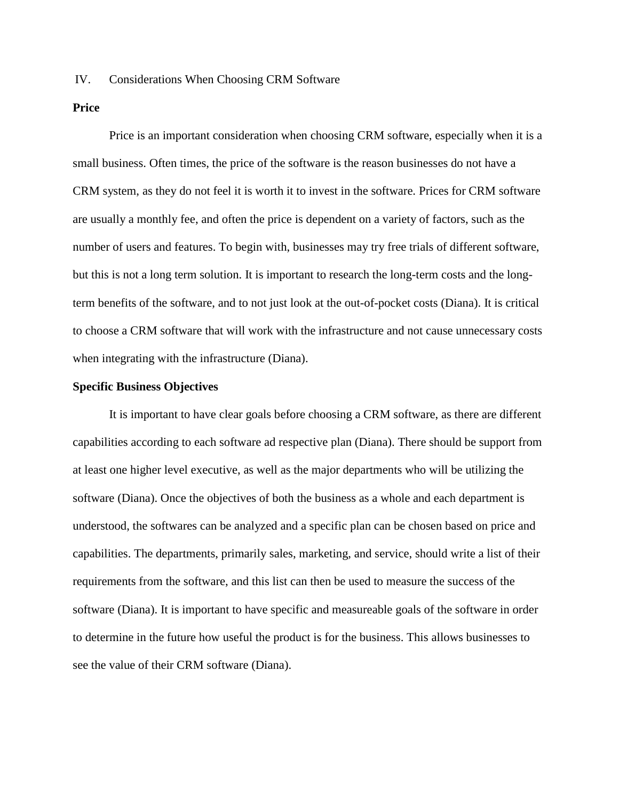# IV. Considerations When Choosing CRM Software

# **Price**

Price is an important consideration when choosing CRM software, especially when it is a small business. Often times, the price of the software is the reason businesses do not have a CRM system, as they do not feel it is worth it to invest in the software. Prices for CRM software are usually a monthly fee, and often the price is dependent on a variety of factors, such as the number of users and features. To begin with, businesses may try free trials of different software, but this is not a long term solution. It is important to research the long-term costs and the longterm benefits of the software, and to not just look at the out-of-pocket costs (Diana). It is critical to choose a CRM software that will work with the infrastructure and not cause unnecessary costs when integrating with the infrastructure (Diana).

#### **Specific Business Objectives**

It is important to have clear goals before choosing a CRM software, as there are different capabilities according to each software ad respective plan (Diana). There should be support from at least one higher level executive, as well as the major departments who will be utilizing the software (Diana). Once the objectives of both the business as a whole and each department is understood, the softwares can be analyzed and a specific plan can be chosen based on price and capabilities. The departments, primarily sales, marketing, and service, should write a list of their requirements from the software, and this list can then be used to measure the success of the software (Diana). It is important to have specific and measureable goals of the software in order to determine in the future how useful the product is for the business. This allows businesses to see the value of their CRM software (Diana).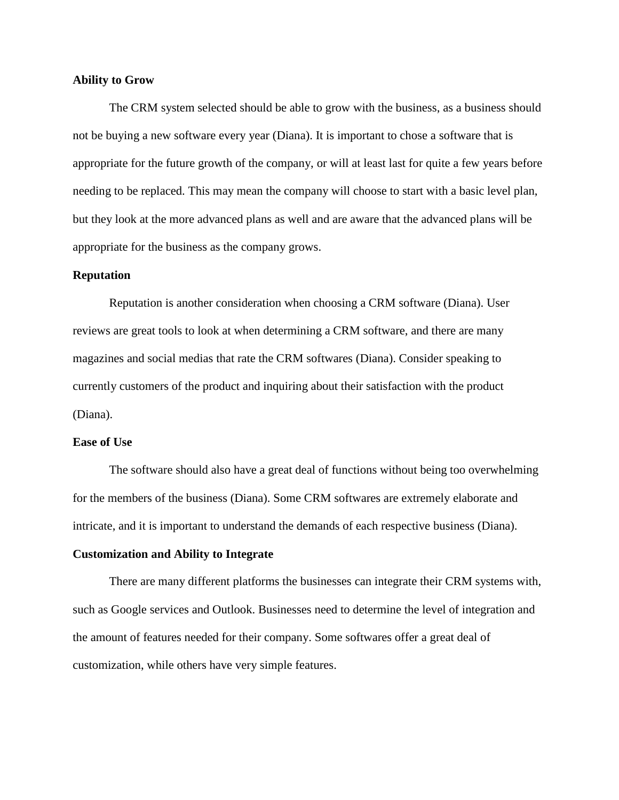## **Ability to Grow**

The CRM system selected should be able to grow with the business, as a business should not be buying a new software every year (Diana). It is important to chose a software that is appropriate for the future growth of the company, or will at least last for quite a few years before needing to be replaced. This may mean the company will choose to start with a basic level plan, but they look at the more advanced plans as well and are aware that the advanced plans will be appropriate for the business as the company grows.

## **Reputation**

Reputation is another consideration when choosing a CRM software (Diana). User reviews are great tools to look at when determining a CRM software, and there are many magazines and social medias that rate the CRM softwares (Diana). Consider speaking to currently customers of the product and inquiring about their satisfaction with the product (Diana).

#### **Ease of Use**

The software should also have a great deal of functions without being too overwhelming for the members of the business (Diana). Some CRM softwares are extremely elaborate and intricate, and it is important to understand the demands of each respective business (Diana).

#### **Customization and Ability to Integrate**

There are many different platforms the businesses can integrate their CRM systems with, such as Google services and Outlook. Businesses need to determine the level of integration and the amount of features needed for their company. Some softwares offer a great deal of customization, while others have very simple features.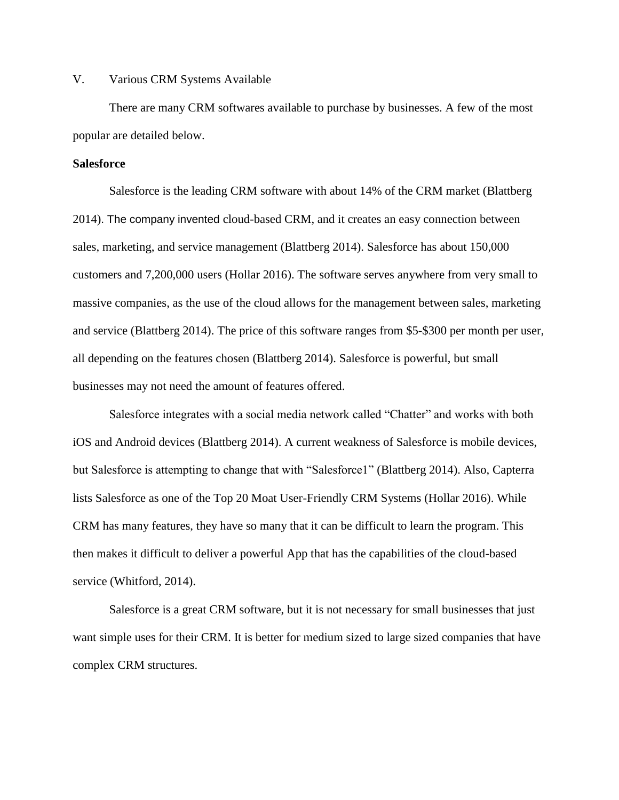# V. Various CRM Systems Available

There are many CRM softwares available to purchase by businesses. A few of the most popular are detailed below.

#### **Salesforce**

Salesforce is the leading CRM software with about 14% of the CRM market (Blattberg 2014). The company invented cloud-based CRM, and it creates an easy connection between sales, marketing, and service management (Blattberg 2014). Salesforce has about 150,000 customers and 7,200,000 users (Hollar 2016). The software serves anywhere from very small to massive companies, as the use of the cloud allows for the management between sales, marketing and service (Blattberg 2014). The price of this software ranges from \$5-\$300 per month per user, all depending on the features chosen (Blattberg 2014). Salesforce is powerful, but small businesses may not need the amount of features offered.

Salesforce integrates with a social media network called "Chatter" and works with both iOS and Android devices (Blattberg 2014). A current weakness of Salesforce is mobile devices, but Salesforce is attempting to change that with "Salesforce1" (Blattberg 2014). Also, Capterra lists Salesforce as one of the Top 20 Moat User-Friendly CRM Systems (Hollar 2016). While CRM has many features, they have so many that it can be difficult to learn the program. This then makes it difficult to deliver a powerful App that has the capabilities of the cloud-based service (Whitford, 2014).

Salesforce is a great CRM software, but it is not necessary for small businesses that just want simple uses for their CRM. It is better for medium sized to large sized companies that have complex CRM structures.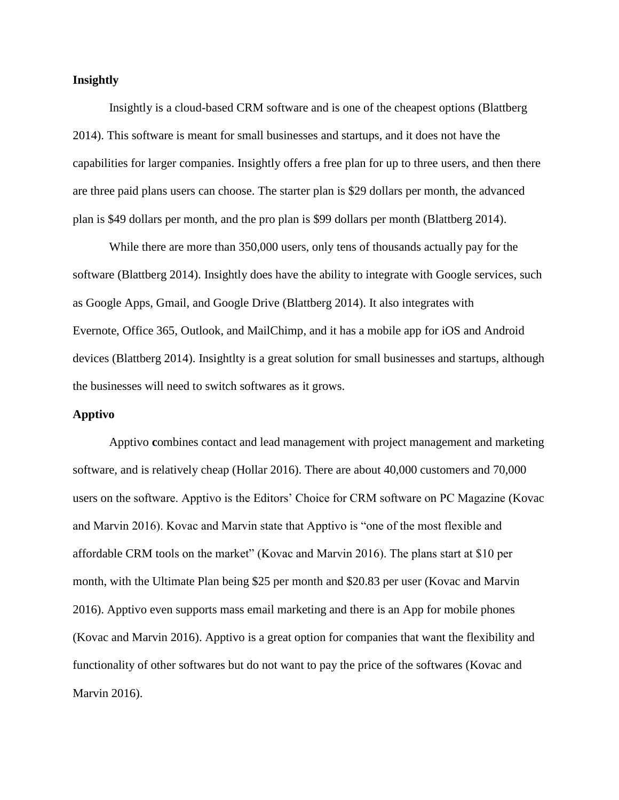## **Insightly**

Insightly is a cloud-based CRM software and is one of the cheapest options (Blattberg 2014). This software is meant for small businesses and startups, and it does not have the capabilities for larger companies. Insightly offers a free plan for up to three users, and then there are three paid plans users can choose. The starter plan is \$29 dollars per month, the advanced plan is \$49 dollars per month, and the pro plan is \$99 dollars per month (Blattberg 2014).

While there are more than 350,000 users, only tens of thousands actually pay for the software (Blattberg 2014). Insightly does have the ability to integrate with Google services, such as Google Apps, Gmail, and Google Drive (Blattberg 2014). It also integrates with Evernote, Office 365, Outlook, and MailChimp, and it has a mobile app for iOS and Android devices (Blattberg 2014). Insightlty is a great solution for small businesses and startups, although the businesses will need to switch softwares as it grows.

# **Apptivo**

Apptivo **c**ombines contact and lead management with project management and marketing software, and is relatively cheap (Hollar 2016). There are about 40,000 customers and 70,000 users on the software. Apptivo is the Editors' Choice for CRM software on PC Magazine (Kovac and Marvin 2016). Kovac and Marvin state that Apptivo is "one of the most flexible and affordable CRM tools on the market" (Kovac and Marvin 2016). The plans start at \$10 per month, with the Ultimate Plan being \$25 per month and \$20.83 per user (Kovac and Marvin 2016). Apptivo even supports mass email marketing and there is an App for mobile phones (Kovac and Marvin 2016). Apptivo is a great option for companies that want the flexibility and functionality of other softwares but do not want to pay the price of the softwares (Kovac and Marvin 2016).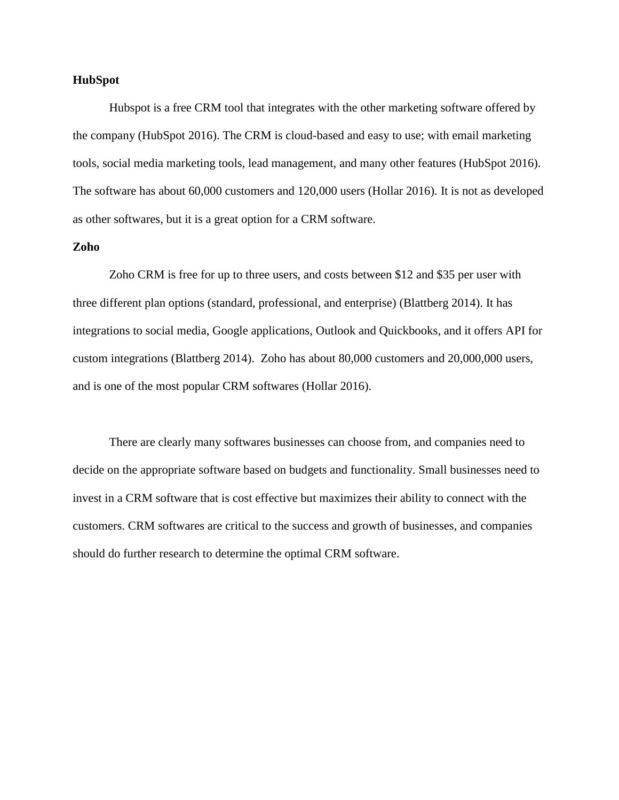## **HubSpot**

Hubspot is a free CRM tool that integrates with the other marketing software offered by the company (HubSpot 2016). The CRM is cloud-based and easy to use; with email marketing tools, social media marketing tools, lead management, and many other features (HubSpot 2016). The software has about 60,000 customers and 120,000 users (Hollar 2016). It is not as developed as other softwares, but it is a great option for a CRM software.

# **Zoho**

Zoho CRM is free for up to three users, and costs between \$12 and \$35 per user with three different plan options (standard, professional, and enterprise) (Blattberg 2014). It has integrations to social media, Google applications, Outlook and Quickbooks, and it offers API for custom integrations (Blattberg 2014). Zoho has about 80,000 customers and 20,000,000 users, and is one of the most popular CRM softwares (Hollar 2016).

There are clearly many softwares businesses can choose from, and companies need to decide on the appropriate software based on budgets and functionality. Small businesses need to invest in a CRM software that is cost effective but maximizes their ability to connect with the customers. CRM softwares are critical to the success and growth of businesses, and companies should do further research to determine the optimal CRM software.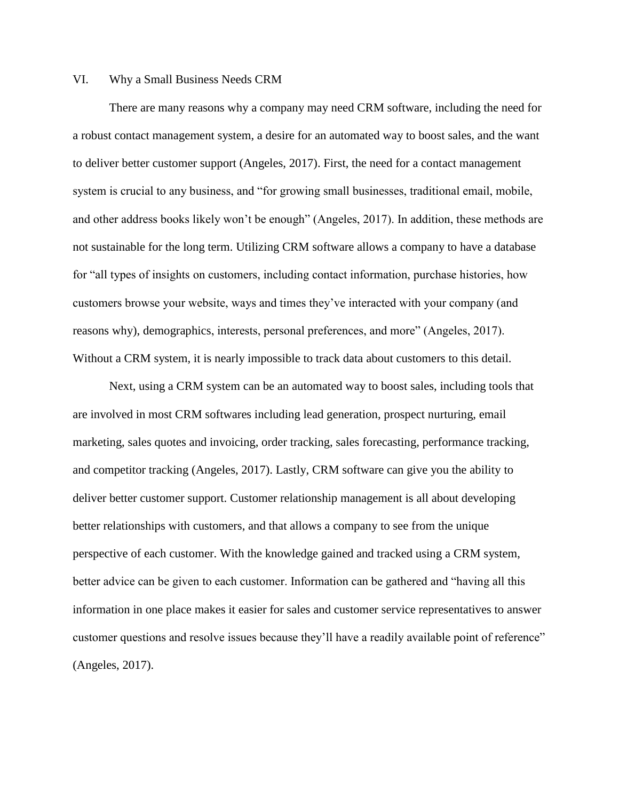# VI. Why a Small Business Needs CRM

There are many reasons why a company may need CRM software, including the need for a robust contact management system, a desire for an automated way to boost sales, and the want to deliver better customer support (Angeles, 2017). First, the need for a contact management system is crucial to any business, and "for growing small businesses, traditional email, mobile, and other address books likely won't be enough" (Angeles, 2017). In addition, these methods are not sustainable for the long term. Utilizing CRM software allows a company to have a database for "all types of insights on customers, including contact information, purchase histories, how customers browse your website, ways and times they've interacted with your company (and reasons why), demographics, interests, personal preferences, and more" (Angeles, 2017). Without a CRM system, it is nearly impossible to track data about customers to this detail.

Next, using a CRM system can be an automated way to boost sales, including tools that are involved in most CRM softwares including lead generation, prospect nurturing, email marketing, sales quotes and invoicing, order tracking, sales forecasting, performance tracking, and competitor tracking (Angeles, 2017). Lastly, CRM software can give you the ability to deliver better customer support. Customer relationship management is all about developing better relationships with customers, and that allows a company to see from the unique perspective of each customer. With the knowledge gained and tracked using a CRM system, better advice can be given to each customer. Information can be gathered and "having all this information in one place makes it easier for sales and customer service representatives to answer customer questions and resolve issues because they'll have a readily available point of reference" (Angeles, 2017).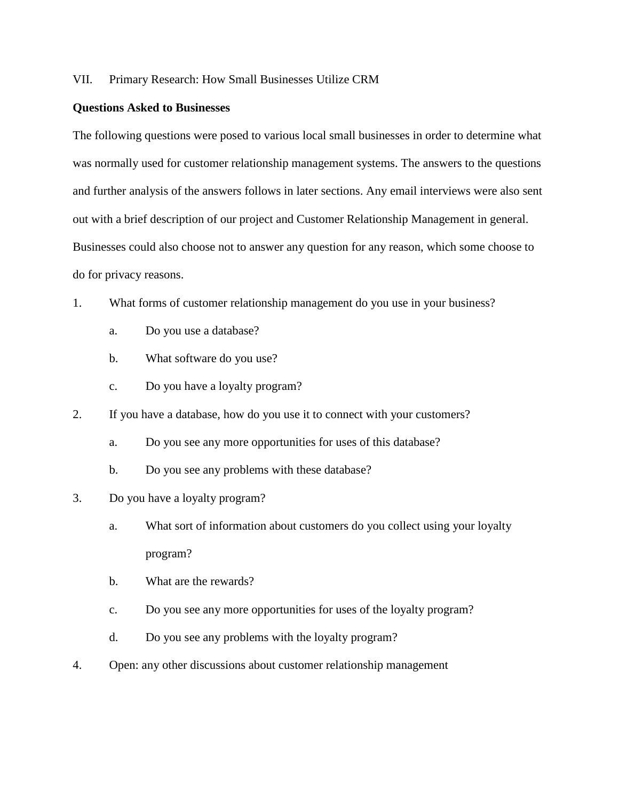# VII. Primary Research: How Small Businesses Utilize CRM

#### **Questions Asked to Businesses**

The following questions were posed to various local small businesses in order to determine what was normally used for customer relationship management systems. The answers to the questions and further analysis of the answers follows in later sections. Any email interviews were also sent out with a brief description of our project and Customer Relationship Management in general. Businesses could also choose not to answer any question for any reason, which some choose to do for privacy reasons.

- 1. What forms of customer relationship management do you use in your business?
	- a. Do you use a database?
	- b. What software do you use?
	- c. Do you have a loyalty program?
- 2. If you have a database, how do you use it to connect with your customers?
	- a. Do you see any more opportunities for uses of this database?
	- b. Do you see any problems with these database?
- 3. Do you have a loyalty program?
	- a. What sort of information about customers do you collect using your loyalty program?
	- b. What are the rewards?
	- c. Do you see any more opportunities for uses of the loyalty program?
	- d. Do you see any problems with the loyalty program?
- 4. Open: any other discussions about customer relationship management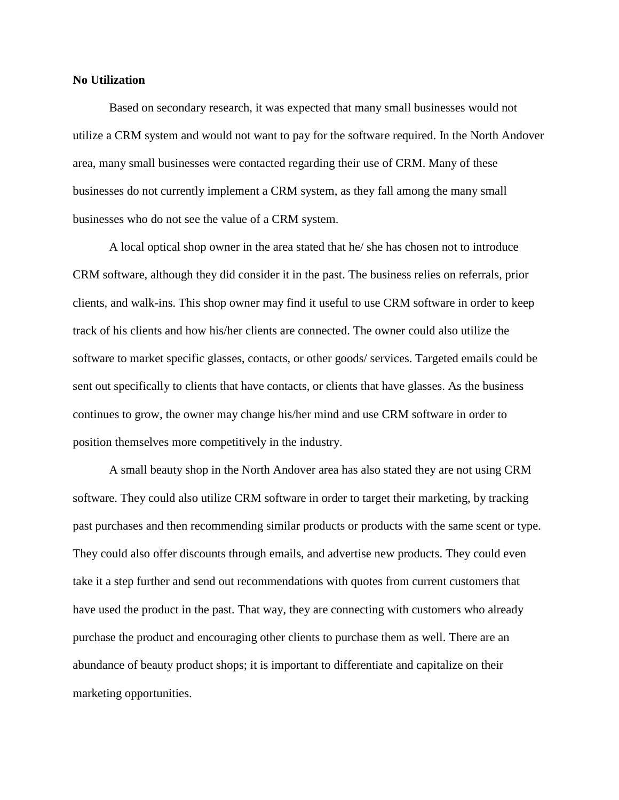#### **No Utilization**

Based on secondary research, it was expected that many small businesses would not utilize a CRM system and would not want to pay for the software required. In the North Andover area, many small businesses were contacted regarding their use of CRM. Many of these businesses do not currently implement a CRM system, as they fall among the many small businesses who do not see the value of a CRM system.

A local optical shop owner in the area stated that he/ she has chosen not to introduce CRM software, although they did consider it in the past. The business relies on referrals, prior clients, and walk-ins. This shop owner may find it useful to use CRM software in order to keep track of his clients and how his/her clients are connected. The owner could also utilize the software to market specific glasses, contacts, or other goods/ services. Targeted emails could be sent out specifically to clients that have contacts, or clients that have glasses. As the business continues to grow, the owner may change his/her mind and use CRM software in order to position themselves more competitively in the industry.

A small beauty shop in the North Andover area has also stated they are not using CRM software. They could also utilize CRM software in order to target their marketing, by tracking past purchases and then recommending similar products or products with the same scent or type. They could also offer discounts through emails, and advertise new products. They could even take it a step further and send out recommendations with quotes from current customers that have used the product in the past. That way, they are connecting with customers who already purchase the product and encouraging other clients to purchase them as well. There are an abundance of beauty product shops; it is important to differentiate and capitalize on their marketing opportunities.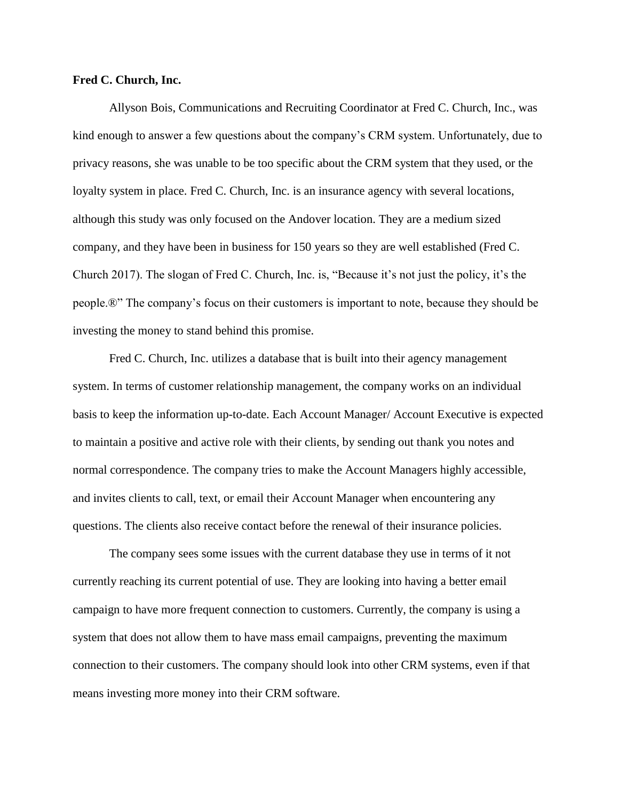## **Fred C. Church, Inc.**

Allyson Bois, Communications and Recruiting Coordinator at Fred C. Church, Inc., was kind enough to answer a few questions about the company's CRM system. Unfortunately, due to privacy reasons, she was unable to be too specific about the CRM system that they used, or the loyalty system in place. Fred C. Church, Inc. is an insurance agency with several locations, although this study was only focused on the Andover location. They are a medium sized company, and they have been in business for 150 years so they are well established (Fred C. Church 2017). The slogan of Fred C. Church, Inc. is, "Because it's not just the policy, it's the people.®" The company's focus on their customers is important to note, because they should be investing the money to stand behind this promise.

Fred C. Church, Inc. utilizes a database that is built into their agency management system. In terms of customer relationship management, the company works on an individual basis to keep the information up-to-date. Each Account Manager/ Account Executive is expected to maintain a positive and active role with their clients, by sending out thank you notes and normal correspondence. The company tries to make the Account Managers highly accessible, and invites clients to call, text, or email their Account Manager when encountering any questions. The clients also receive contact before the renewal of their insurance policies.

The company sees some issues with the current database they use in terms of it not currently reaching its current potential of use. They are looking into having a better email campaign to have more frequent connection to customers. Currently, the company is using a system that does not allow them to have mass email campaigns, preventing the maximum connection to their customers. The company should look into other CRM systems, even if that means investing more money into their CRM software.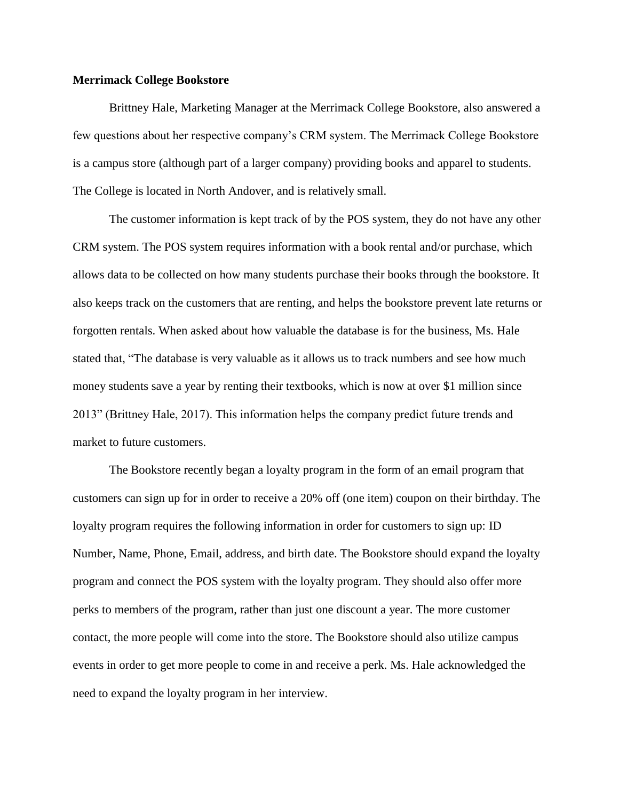## **Merrimack College Bookstore**

Brittney Hale, Marketing Manager at the Merrimack College Bookstore, also answered a few questions about her respective company's CRM system. The Merrimack College Bookstore is a campus store (although part of a larger company) providing books and apparel to students. The College is located in North Andover, and is relatively small.

The customer information is kept track of by the POS system, they do not have any other CRM system. The POS system requires information with a book rental and/or purchase, which allows data to be collected on how many students purchase their books through the bookstore. It also keeps track on the customers that are renting, and helps the bookstore prevent late returns or forgotten rentals. When asked about how valuable the database is for the business, Ms. Hale stated that, "The database is very valuable as it allows us to track numbers and see how much money students save a year by renting their textbooks, which is now at over \$1 million since 2013" (Brittney Hale, 2017). This information helps the company predict future trends and market to future customers.

The Bookstore recently began a loyalty program in the form of an email program that customers can sign up for in order to receive a 20% off (one item) coupon on their birthday. The loyalty program requires the following information in order for customers to sign up: ID Number, Name, Phone, Email, address, and birth date. The Bookstore should expand the loyalty program and connect the POS system with the loyalty program. They should also offer more perks to members of the program, rather than just one discount a year. The more customer contact, the more people will come into the store. The Bookstore should also utilize campus events in order to get more people to come in and receive a perk. Ms. Hale acknowledged the need to expand the loyalty program in her interview.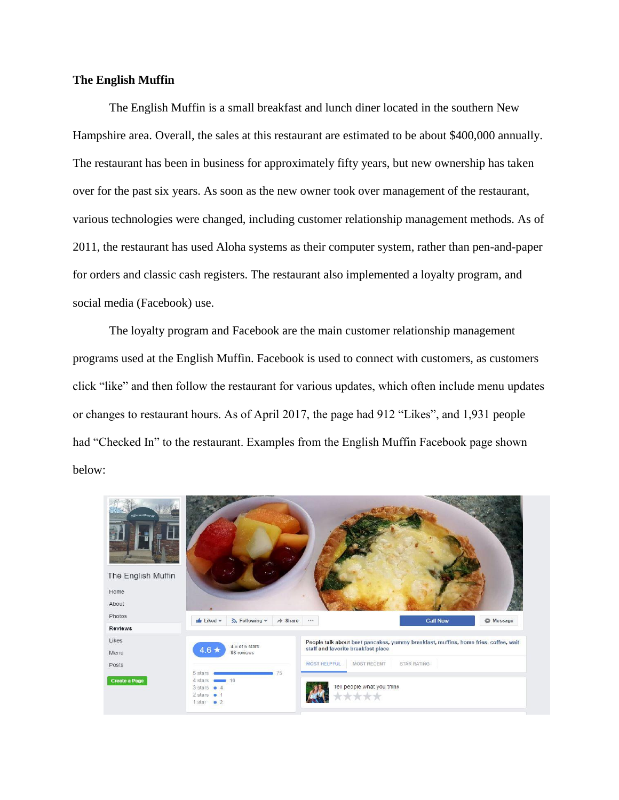# **The English Muffin**

The English Muffin is a small breakfast and lunch diner located in the southern New Hampshire area. Overall, the sales at this restaurant are estimated to be about \$400,000 annually. The restaurant has been in business for approximately fifty years, but new ownership has taken over for the past six years. As soon as the new owner took over management of the restaurant, various technologies were changed, including customer relationship management methods. As of 2011, the restaurant has used Aloha systems as their computer system, rather than pen-and-paper for orders and classic cash registers. The restaurant also implemented a loyalty program, and social media (Facebook) use.

The loyalty program and Facebook are the main customer relationship management programs used at the English Muffin. Facebook is used to connect with customers, as customers click "like" and then follow the restaurant for various updates, which often include menu updates or changes to restaurant hours. As of April 2017, the page had 912 "Likes", and 1,931 people had "Checked In" to the restaurant. Examples from the English Muffin Facebook page shown below:

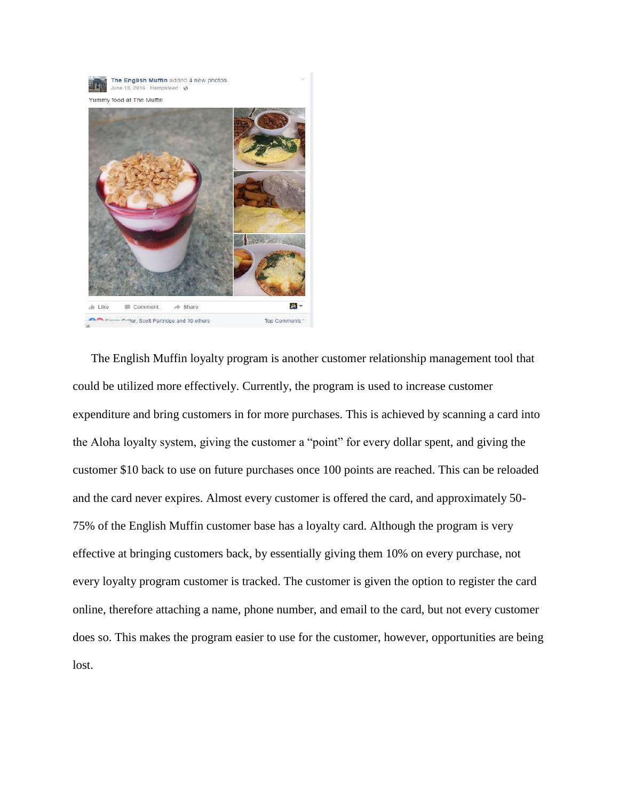

The English Muffin loyalty program is another customer relationship management tool that could be utilized more effectively. Currently, the program is used to increase customer expenditure and bring customers in for more purchases. This is achieved by scanning a card into the Aloha loyalty system, giving the customer a "point" for every dollar spent, and giving the customer \$10 back to use on future purchases once 100 points are reached. This can be reloaded and the card never expires. Almost every customer is offered the card, and approximately 50- 75% of the English Muffin customer base has a loyalty card. Although the program is very effective at bringing customers back, by essentially giving them 10% on every purchase, not every loyalty program customer is tracked. The customer is given the option to register the card online, therefore attaching a name, phone number, and email to the card, but not every customer does so. This makes the program easier to use for the customer, however, opportunities are being lost.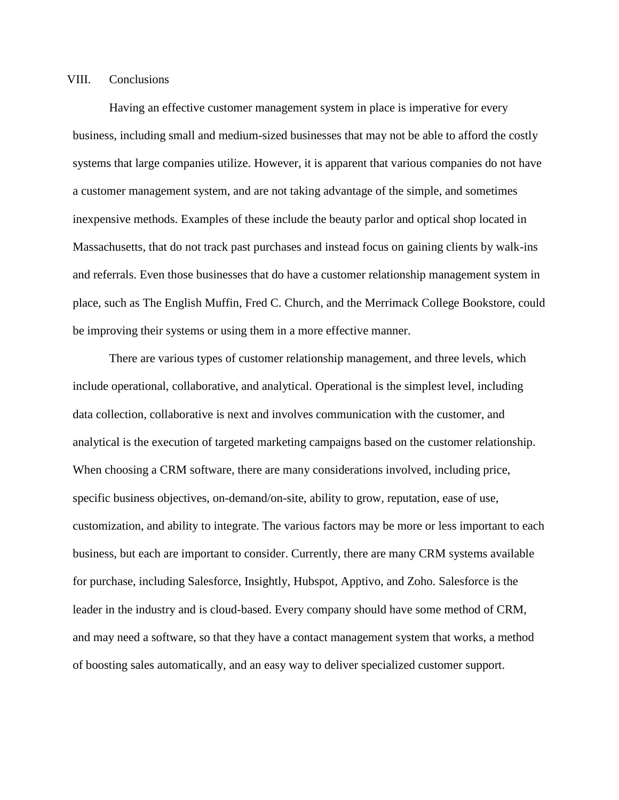# VIII. Conclusions

Having an effective customer management system in place is imperative for every business, including small and medium-sized businesses that may not be able to afford the costly systems that large companies utilize. However, it is apparent that various companies do not have a customer management system, and are not taking advantage of the simple, and sometimes inexpensive methods. Examples of these include the beauty parlor and optical shop located in Massachusetts, that do not track past purchases and instead focus on gaining clients by walk-ins and referrals. Even those businesses that do have a customer relationship management system in place, such as The English Muffin, Fred C. Church, and the Merrimack College Bookstore, could be improving their systems or using them in a more effective manner.

There are various types of customer relationship management, and three levels, which include operational, collaborative, and analytical. Operational is the simplest level, including data collection, collaborative is next and involves communication with the customer, and analytical is the execution of targeted marketing campaigns based on the customer relationship. When choosing a CRM software, there are many considerations involved, including price, specific business objectives, on-demand/on-site, ability to grow, reputation, ease of use, customization, and ability to integrate. The various factors may be more or less important to each business, but each are important to consider. Currently, there are many CRM systems available for purchase, including Salesforce, Insightly, Hubspot, Apptivo, and Zoho. Salesforce is the leader in the industry and is cloud-based. Every company should have some method of CRM, and may need a software, so that they have a contact management system that works, a method of boosting sales automatically, and an easy way to deliver specialized customer support.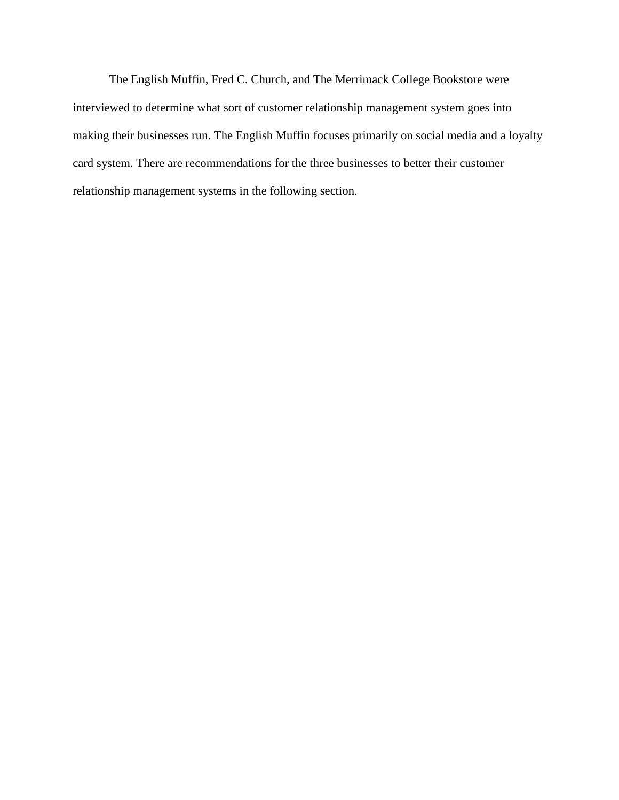The English Muffin, Fred C. Church, and The Merrimack College Bookstore were interviewed to determine what sort of customer relationship management system goes into making their businesses run. The English Muffin focuses primarily on social media and a loyalty card system. There are recommendations for the three businesses to better their customer relationship management systems in the following section.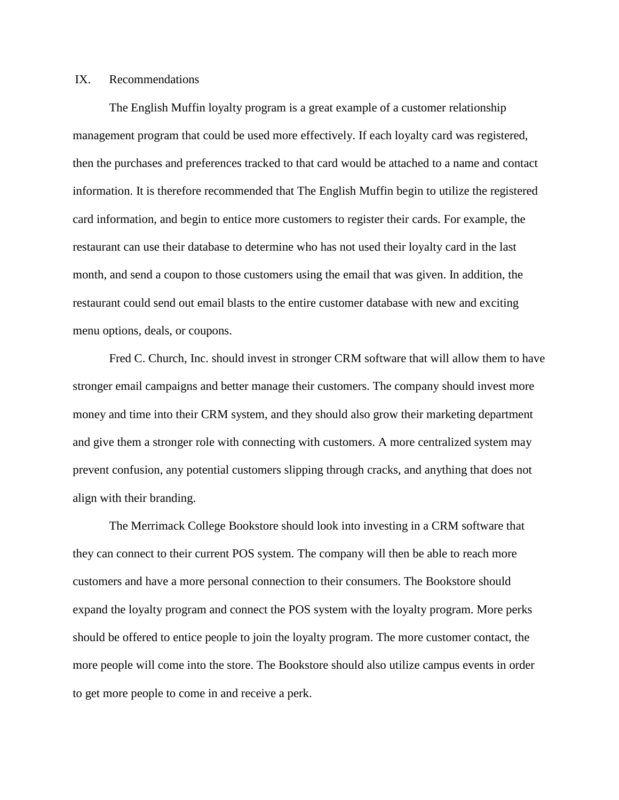# IX. Recommendations

The English Muffin loyalty program is a great example of a customer relationship management program that could be used more effectively. If each loyalty card was registered, then the purchases and preferences tracked to that card would be attached to a name and contact information. It is therefore recommended that The English Muffin begin to utilize the registered card information, and begin to entice more customers to register their cards. For example, the restaurant can use their database to determine who has not used their loyalty card in the last month, and send a coupon to those customers using the email that was given. In addition, the restaurant could send out email blasts to the entire customer database with new and exciting menu options, deals, or coupons.

Fred C. Church, Inc. should invest in stronger CRM software that will allow them to have stronger email campaigns and better manage their customers. The company should invest more money and time into their CRM system, and they should also grow their marketing department and give them a stronger role with connecting with customers. A more centralized system may prevent confusion, any potential customers slipping through cracks, and anything that does not align with their branding.

The Merrimack College Bookstore should look into investing in a CRM software that they can connect to their current POS system. The company will then be able to reach more customers and have a more personal connection to their consumers. The Bookstore should expand the loyalty program and connect the POS system with the loyalty program. More perks should be offered to entice people to join the loyalty program. The more customer contact, the more people will come into the store. The Bookstore should also utilize campus events in order to get more people to come in and receive a perk.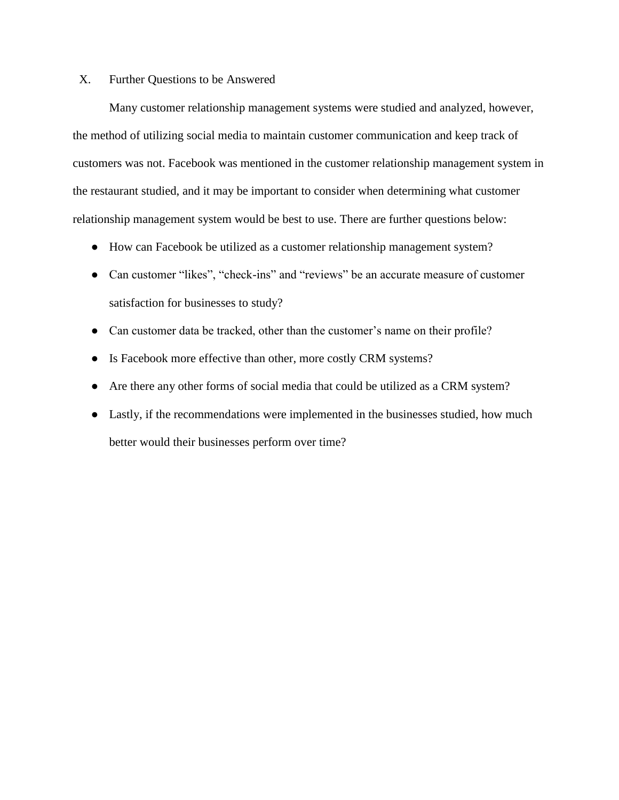# X. Further Questions to be Answered

Many customer relationship management systems were studied and analyzed, however, the method of utilizing social media to maintain customer communication and keep track of customers was not. Facebook was mentioned in the customer relationship management system in the restaurant studied, and it may be important to consider when determining what customer relationship management system would be best to use. There are further questions below:

- How can Facebook be utilized as a customer relationship management system?
- Can customer "likes", "check-ins" and "reviews" be an accurate measure of customer satisfaction for businesses to study?
- Can customer data be tracked, other than the customer's name on their profile?
- Is Facebook more effective than other, more costly CRM systems?
- Are there any other forms of social media that could be utilized as a CRM system?
- Lastly, if the recommendations were implemented in the businesses studied, how much better would their businesses perform over time?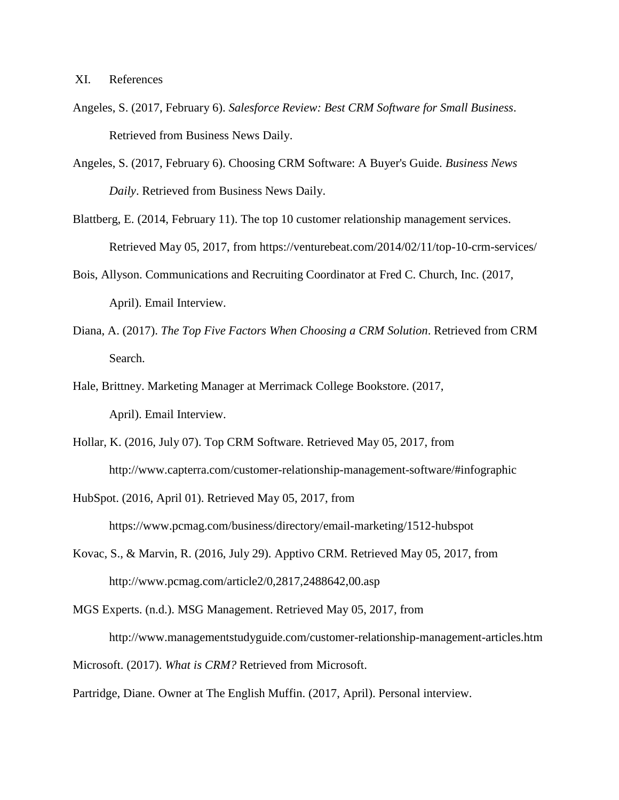- Angeles, S. (2017, February 6). *Salesforce Review: Best CRM Software for Small Business*. Retrieved from Business News Daily.
- Angeles, S. (2017, February 6). Choosing CRM Software: A Buyer's Guide. *Business News Daily*. Retrieved from Business News Daily.
- Blattberg, E. (2014, February 11). The top 10 customer relationship management services. Retrieved May 05, 2017, from https://venturebeat.com/2014/02/11/top-10-crm-services/
- Bois, Allyson. Communications and Recruiting Coordinator at Fred C. Church, Inc. (2017, April). Email Interview.
- Diana, A. (2017). *The Top Five Factors When Choosing a CRM Solution*. Retrieved from CRM Search.
- Hale, Brittney. Marketing Manager at Merrimack College Bookstore. (2017, April). Email Interview.
- Hollar, K. (2016, July 07). Top CRM Software. Retrieved May 05, 2017, from http://www.capterra.com/customer-relationship-management-software/#infographic
- HubSpot. (2016, April 01). Retrieved May 05, 2017, from https://www.pcmag.com/business/directory/email-marketing/1512-hubspot
- Kovac, S., & Marvin, R. (2016, July 29). Apptivo CRM. Retrieved May 05, 2017, from http://www.pcmag.com/article2/0,2817,2488642,00.asp
- MGS Experts. (n.d.). MSG Management. Retrieved May 05, 2017, from

http://www.managementstudyguide.com/customer-relationship-management-articles.htm

Microsoft. (2017). *What is CRM?* Retrieved from Microsoft.

Partridge, Diane. Owner at The English Muffin. (2017, April). Personal interview.